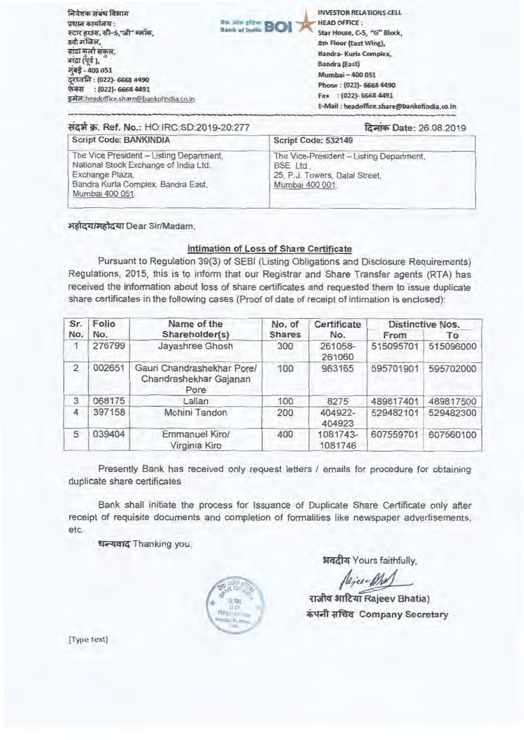<u>निवेशक संबंध विभाग</u> प्रधान कार्यालय : स्टार हाउस, सी-5,"जी" ब्लॉक. 8वी मंजिल, बांद्रा कुर्ला संकुल,<br>बांद्रा (पूर्व ), **gpt \_400 051 71.7rirr (0221- 6463 4490 फेक्स** : (022)- 6668 4491 **\* 421; heachaffiCR.5hR** r bankprindia,co. fr, **119 Mini of Emil BIO \_ INVESTOR RELATIONS CELL HEAD OFFICE Star House, C-5. , '.rG" Block, 8th Floor (East Wing)**, **Bandra- Kuria Complex**, **Bandra** (East) **MU miag— 40a C61**  Phone : (022)- 6668 4490 **Fax : (O22)- 6668 4491 E-Mall; headofike.stpare@bothofiridia.co\_in** 

| सदर्भ क्र. Ref. No.: HO IRC:SD:2019-20:277                                                                                                                    | दिनांक Date: 26.08.2019                                                                                   |  |  |
|---------------------------------------------------------------------------------------------------------------------------------------------------------------|-----------------------------------------------------------------------------------------------------------|--|--|
| Script Code: BANKINDIA                                                                                                                                        | Script Code: 532149                                                                                       |  |  |
| The Vice President - Listing Department,<br>National Stock Exchange of India Ltd.,<br>Exchange Plaza,<br>Bandra Kurla Complex, Bandra East,<br>Mumbai 400 051 | The Vice-President - Listing Department,<br>BSE Ltd.<br>25, P.J. Towers, Dalal Street,<br>Mumbai 400 001. |  |  |

महोदय/महोदया Dear Sir/Madam,

## **Intimation of Lossof Share Certificate**

**Pursuant to Regulation 39(3) of SEBI (Listing Obligations and Disclosure Requirements) Regulations, 2015, this is to inform that our Registrar and Share Transfer agents (RTA) has received the information about loss of share certificates** and requested them to issue duplicate share certificates in the following cases (Proof of date of receipt of intimation is enclosed):

| Sr.            | Folio  | Name of the                                                  | No. of        | Certificate         |           | <b>Distinctive Nos.</b> |
|----------------|--------|--------------------------------------------------------------|---------------|---------------------|-----------|-------------------------|
| No.            | No.    | Shareholder(s)                                               | <b>Shares</b> | No.                 | From      | To                      |
|                | 276799 | Jayashree Ghosh                                              | 300           | 261058-<br>261060   | 515095701 | 515096000               |
| $\overline{2}$ | 002651 | Gauri Chandrashekhar Pore/<br>Chandrashekhar Gajanan<br>Pore | 100           | 963165              | 595701901 | 595702000               |
| 3              | 068175 | Lallan                                                       | 100           | 8275                | 489817401 | 489817500               |
| 4              | 397158 | Mohini Tandon                                                | 200           | 404922-<br>404923   | 529482101 | 529482300               |
| 5              | 039404 | Emmanuel Kiro/<br>Virginia Kiro                              | 400           | 1081743-<br>1081746 | 607559701 | 607560100               |

Presently Bank has received only request letters */* emails for procedure for obtaining duplicate share **certificates** 

**Bank shall initiate the process for Issuance of Duplicate Share Certificate only after receipt** of requisite documents and completion of formalities like **newspaper advertisements,**  etc.

धन्यवाद Thanking you,



अवदीय Yours faithfully.

Dejee-Mr

**राजीव भाटिया Rajeev Bhatia) el** Company Secretary

[Type text]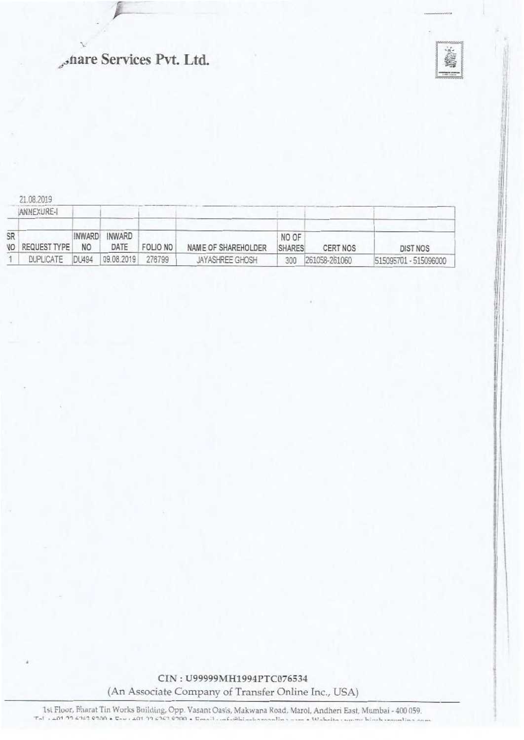# "hare Services Pvt. Ltd.



21.08.2019

|           | IANNEXURE-I  |                |                |          |                     |                        |               |                       |
|-----------|--------------|----------------|----------------|----------|---------------------|------------------------|---------------|-----------------------|
| SR<br>VO. | REQUEST TYPE | INWARD!<br>NO. | INWARD<br>DATE | FOLIO NO | NAME OF SHAREHOLDER | NO OF<br><b>SHARES</b> | CERT NOS      | <b>DIST NOS</b>       |
|           | DUPLICATE    | DL494          | 09.08.2019     | 276799   | JAYASHREE GHOSH     | 300                    | 261058-261060 | 515095701 - 515096000 |

CIN: U99999MH1994PTC076534 (An Associate Company of Transfer Online Inc., USA)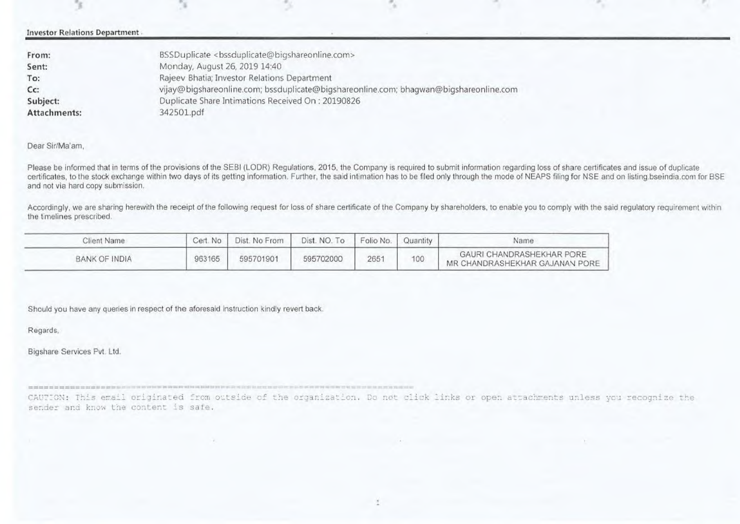#### Investor Relations Department

| BSSDuplicate <bssduplicate@bigshareonline.com></bssduplicate@bigshareonline.com>      |
|---------------------------------------------------------------------------------------|
| Monday, August 26, 2019 14:40                                                         |
| Rajeev Bhatia; Investor Relations Department                                          |
| vijay@bigshareonline.com; bssduplicate@bigshareonline.com; bhagwan@bigshareonline.com |
| Duplicate Share Intimations Received On: 20190826                                     |
| 342501.pdf                                                                            |
|                                                                                       |

#### Dear Sir/Ma'am,

Please be informed that in terms of the provisions of the SEBI (LODR) Regulations, 2015, the Company is required to submit information regarding loss of share certificates and issue of duplicate certificates, to the stock exchange within two days of its getting information. Further, the said intimation has to be filed only through the mode of NEAPS filing for NSE and on listing bseindia.com for BSE and not via hard copy submission.

Accordingly, we are sharing herewith the receipt of the following request for loss of share certificate of the Company by shareholders, to enable you to comply with the said requlatory requirement within the timelines prescribed.

| Client Name   | Cert. No | Dist. No From | Dist. NO. To | Folio No. | Quantity | Name                                                        |
|---------------|----------|---------------|--------------|-----------|----------|-------------------------------------------------------------|
| BANK OF INDIA | 963165   | 595701901     | 595702000    | 2651      | 100      | GAURI CHANDRASHEKHAR PORE<br>MR CHANDRASHEKHAR GAJANAN PORE |

Should you have any queries in respect of the aforesaid instruction kindly revert back.

Regards,

Bigshare Services Pvt. Ltd.

causes assesses and originated from outside of the organization. Do not click links or open attachments unless you recognize the sender and know the content is safe.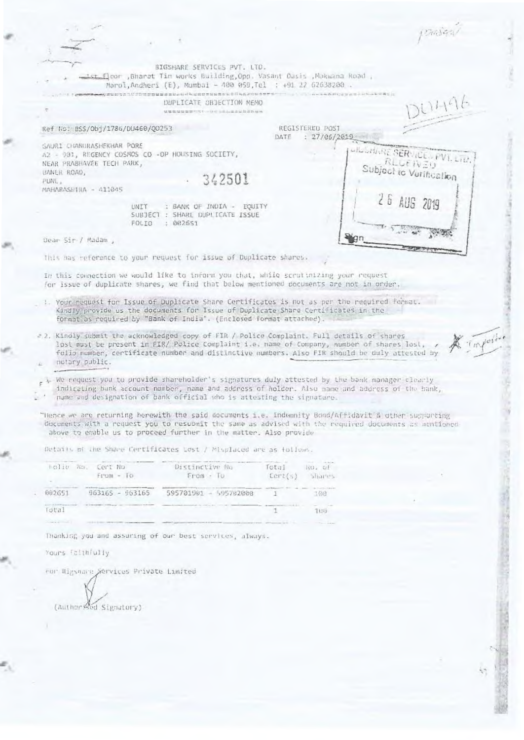|                                                                                                                                                                                                                                                                                                             |                                                                                                                                                                                                                                                            |         |                                 | Philippy                                  |          |
|-------------------------------------------------------------------------------------------------------------------------------------------------------------------------------------------------------------------------------------------------------------------------------------------------------------|------------------------------------------------------------------------------------------------------------------------------------------------------------------------------------------------------------------------------------------------------------|---------|---------------------------------|-------------------------------------------|----------|
|                                                                                                                                                                                                                                                                                                             |                                                                                                                                                                                                                                                            |         |                                 |                                           |          |
|                                                                                                                                                                                                                                                                                                             |                                                                                                                                                                                                                                                            |         |                                 |                                           |          |
| st Eloor ,Bharat Tin works Building,Opp. Vasant Oasis ,Makwana Road ,<br>Marol,Andheri (E), Mumbai - 400 059,Tel : +91 22 62638200 .                                                                                                                                                                        | BIGSHARE SERVICES PVT. LTD.                                                                                                                                                                                                                                |         |                                 |                                           |          |
| weth turner as a shall competent and competent to the                                                                                                                                                                                                                                                       |                                                                                                                                                                                                                                                            |         |                                 |                                           |          |
|                                                                                                                                                                                                                                                                                                             | DUPLICATE CHOECTION MEMO<br>Missing and the permitted of the company of the first permitted on the company of the company of the company of the company of the company of the company of the company of the company of the company of the company of the c |         |                                 | 311196                                    |          |
|                                                                                                                                                                                                                                                                                                             |                                                                                                                                                                                                                                                            |         |                                 |                                           |          |
| Ref No: BSS/Obj/1786/DU460/Q0253                                                                                                                                                                                                                                                                            |                                                                                                                                                                                                                                                            | DATE    | REGISTERED POST<br>: 27/06/2019 |                                           |          |
| SAURI CHANURASHEKHAR PORE<br>A2 - 901, REGENCY COSMOS CO -OP HOUSING SOCIETY,<br>NEAR PRABHAVEE TECH PARK,                                                                                                                                                                                                  |                                                                                                                                                                                                                                                            |         |                                 | <b>LILLHARE SERVICE</b><br><b>RLUEWED</b> |          |
| BANER ROAD,                                                                                                                                                                                                                                                                                                 |                                                                                                                                                                                                                                                            |         |                                 | Subject to Verification                   |          |
| PUNE,                                                                                                                                                                                                                                                                                                       | 342501                                                                                                                                                                                                                                                     |         |                                 |                                           |          |
| MAHARASHIRA - 411045                                                                                                                                                                                                                                                                                        |                                                                                                                                                                                                                                                            |         |                                 |                                           |          |
| UNIT<br>SUBJECT : SHARE DUPLICATE ISSUE<br>FOLIO<br>: 002651                                                                                                                                                                                                                                                | : BANK OF INDIA - EQUITY                                                                                                                                                                                                                                   |         |                                 | 26 AUG 2019                               |          |
|                                                                                                                                                                                                                                                                                                             |                                                                                                                                                                                                                                                            |         |                                 |                                           |          |
| Dear Sir / Madam ,                                                                                                                                                                                                                                                                                          |                                                                                                                                                                                                                                                            |         |                                 |                                           |          |
| This mas reference to your request for issue of Duplicate shares.                                                                                                                                                                                                                                           |                                                                                                                                                                                                                                                            |         |                                 |                                           |          |
| In this connection we would like to inform you that, while scrutinizing your request<br>for issue of duplicate shares, we find that below mentioned documents are not in order.                                                                                                                             |                                                                                                                                                                                                                                                            |         |                                 |                                           |          |
| 1. Your request for Issue of Duplicate Share Certificates is not as per the required format.<br>Kindly provide us the documents for Issue of Duplicate Share Certificates in the<br>format as required by "Bank of India". (Enclosed format attached).                                                      |                                                                                                                                                                                                                                                            |         |                                 |                                           |          |
| = 2. Kindly submit the acknowledged copy of FIR / Police Complaint. Full details of shares<br>lost must be present in FIR/ Police Complaint i.e. name of Company, number of shares lost,<br>folio number, certificate number and distinctive numbers. Also FIR should be duly attested by<br>notary public. |                                                                                                                                                                                                                                                            |         |                                 |                                           | Importer |
| y, We nequest you to provide shareholder's signatures duly attested by the bank manager clearly<br>indicating bank account number, name and address of holder. Also name and address of the bank,<br>nume and designation of bank official who is attesting the signature.                                  |                                                                                                                                                                                                                                                            |         |                                 |                                           |          |
| "Hence we are returning herewith the said documents i.e. Indemnity Bond/Affidavit'& other suggerting<br>documents with a request you to resubmit the same as advised with the required documents as mentioned<br>above to enable us to proceed further in the matter. Also provide                          |                                                                                                                                                                                                                                                            |         |                                 |                                           |          |
| Detaily of the Share Certificates Lost / Misplaced are as follows.                                                                                                                                                                                                                                          |                                                                                                                                                                                                                                                            |         |                                 |                                           |          |
| Rolie No.<br>Cert No                                                                                                                                                                                                                                                                                        | Distinctive No                                                                                                                                                                                                                                             | Total   | $W_2, W_1$                      |                                           |          |
| $f$ t'ass - To                                                                                                                                                                                                                                                                                              | From - To                                                                                                                                                                                                                                                  | LerL(s) | Shares.                         |                                           |          |
| 002651<br>963165 - 963165                                                                                                                                                                                                                                                                                   | 595701901 - 595702000                                                                                                                                                                                                                                      | 1       | 108                             |                                           |          |
|                                                                                                                                                                                                                                                                                                             |                                                                                                                                                                                                                                                            |         |                                 |                                           |          |
| Total                                                                                                                                                                                                                                                                                                       |                                                                                                                                                                                                                                                            | 1       | 1109                            |                                           |          |
|                                                                                                                                                                                                                                                                                                             |                                                                                                                                                                                                                                                            |         |                                 |                                           |          |
| Thanking you and assuring of our best services, always.                                                                                                                                                                                                                                                     |                                                                                                                                                                                                                                                            |         |                                 |                                           |          |
| Yours faithfully                                                                                                                                                                                                                                                                                            |                                                                                                                                                                                                                                                            |         |                                 |                                           |          |
| For Higsmann Services Private Limited                                                                                                                                                                                                                                                                       |                                                                                                                                                                                                                                                            |         |                                 |                                           |          |
|                                                                                                                                                                                                                                                                                                             |                                                                                                                                                                                                                                                            |         |                                 |                                           |          |
|                                                                                                                                                                                                                                                                                                             |                                                                                                                                                                                                                                                            |         |                                 |                                           |          |
| (Author Red Signatory)                                                                                                                                                                                                                                                                                      |                                                                                                                                                                                                                                                            |         |                                 |                                           |          |
|                                                                                                                                                                                                                                                                                                             |                                                                                                                                                                                                                                                            |         |                                 |                                           |          |
|                                                                                                                                                                                                                                                                                                             |                                                                                                                                                                                                                                                            |         |                                 |                                           |          |

 $\frac{1}{2}$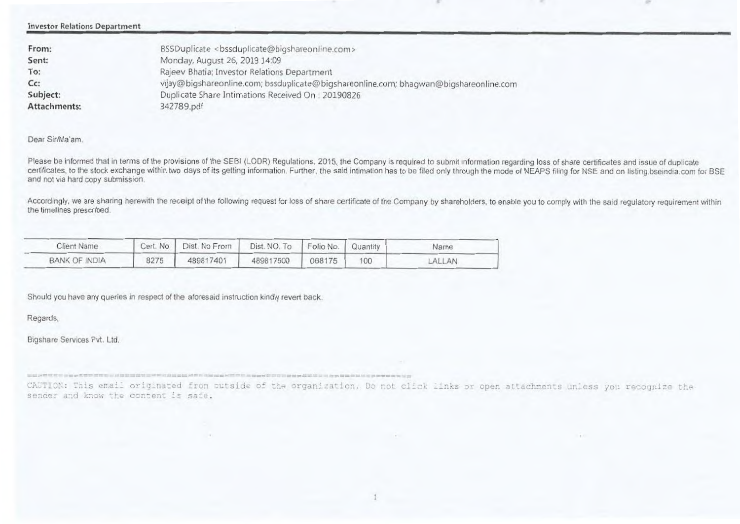**Investor Relations Deportment** 

| From:        | BSSDuplicate <bssduplicate@bigshareonline.com></bssduplicate@bigshareonline.com>      |
|--------------|---------------------------------------------------------------------------------------|
| Sent:        | Monday, August 26, 2019 14:09                                                         |
| To:          | Rajeev Bhatia; Investor Relations Department                                          |
| $Cc$ :       | vijay@bigshareonline.com; bssduplicate@bigshareonline.com; bhagwan@bigshareonline.com |
| Subject:     | Duplicate Share Intimations Received On: 20190826                                     |
| Attachments: | 342789.pdf                                                                            |

#### **Dear SiriMa'am**

**Please be informed that in terms of the provisions of the 3E81 (LOOR) Regulations. 2015, the Company is required to submit information regarding loss of share certificates and issue of duplicate**  certificates, to the stock exchange within two days of its getting information. Further, the said intimation has to be filed only through the mode of NEAPS filing for NSE and on listing bseindia com for BSE **and not via hard copy submission.**

Accordingly, we are sharing herewith the receipt of the following request for loss of share certificate of the Company by shareholders, to enable you to comply with the said regulatory requirement within **the timelines prescribed.**

| Client Name   | Cert, No | Dist. No From | Dist. NO. To Folio No.   Quantity |        |     | Name   |
|---------------|----------|---------------|-----------------------------------|--------|-----|--------|
| BANK OF INDIA | 8275     | 489817401     | 489817500                         | 068175 | 100 | LALLAN |

Should **you have any queries in respect of the aforesaid instruction kindly revert back.** 

**Regards,** 

Bigshare Services Put. Ltd.

CAUTION: This email originated from cutside of the organization. Do not click links or open attachments unless you recognize the sender and know the content is safe.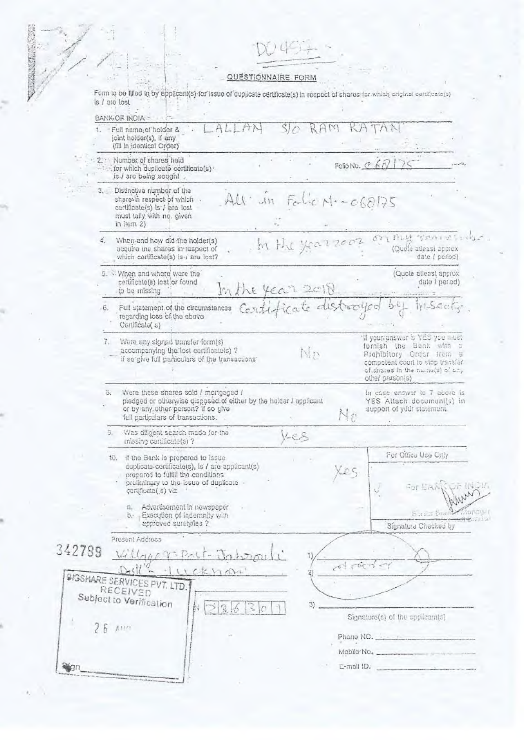MANT OF

QUESTIONNAIRE FORM<br>Form to be filled in by applicant(s) for issue of duplicate certificate(s) in respect of shares for which original certificate(s)<br>is / are lost

| KAM<br>TAN<br>1. Full name; of holder &<br>joint holder(s), if any<br>(fill in identical Order)<br>2. Number of shares held<br>FORONO. C $67175$<br>for which duplicate certificate(s) .<br>is / are being sought.<br>3. Distinctive number of the<br>$AU \cdot \sin$ Falic N .- $060175$<br>sharesin respect of which .<br>certificate(s) is / are lost<br>must tally with no. given<br>in item $2)$<br>OTHUS TOWNERING<br>hi the year 2002<br>4.<br>When and how did the holder(s)<br>(Quote atleast approx<br>acquire the shares in respect of<br>which cartificate(s) is / are lost?<br>date ( period)<br>5. When and where were the<br>(Quote atleast approx<br>certificate(s) lost or found<br>data / period)<br>In the year 2010<br>to be missing<br>Certificate distraryed by mseat;<br>Full statement of the circumstances<br>46.<br>regarding loss of the above<br>Certificate(s)<br>'if your answer is YES you must<br>7.<br>Were any signed transfer form(s)<br>fornish the Bank with a<br>accompanying the lost certificate(s) ?<br>Nn<br>Probibitory Order from a<br>if so give full purticulars of the transactions:<br>compotent court to stop transfer<br>cfishares in the name(s) of any<br>other parson(s)<br>Were these shares sold / mortgaged /<br>In case enswer to 7 above is<br>8.<br>pledged or otherwise disposed of either by the holder I applicant<br>YES Altach document(s) in<br>or by any other person? if so give<br>support of your statement.<br>$N_{\mathcal{D}}$<br>full particulars of transactions.<br>Was diligent search mode for the<br>9.<br>KES<br>missing certificate(s)?<br>For Office Use Only<br>10. If the Bank is prepared to issue<br>duplicate-certificate(s), is / are applicant(s)<br>Xes.<br>prepared to fulfill the conditions:<br>preliminary to the issue of duplicate -<br>For EANS<br>certificate( s) viz<br>Advertisement in newspaper<br>a.<br>Such Stany<br>b. Execution of Indemnity with<br>approved surety/les ?<br>Signatura Checked by<br>Present Address<br>342789<br>Willage Brit-Jahren<br>drand<br>$DdV - HLckham$<br><b>PIGSHARE SERVICES PVT. LTD.</b><br>RECEIVED<br>Subject to Verification<br>3)<br>$>$ $\frac{2}{3}$<br>Signature(s) of the applicant(s)<br>26<br>Arre<br>Phone NO. 222 122 2020<br>Mabila No.<br>E-mail ID. | BANKIOF INDIA : |  |                 |
|-------------------------------------------------------------------------------------------------------------------------------------------------------------------------------------------------------------------------------------------------------------------------------------------------------------------------------------------------------------------------------------------------------------------------------------------------------------------------------------------------------------------------------------------------------------------------------------------------------------------------------------------------------------------------------------------------------------------------------------------------------------------------------------------------------------------------------------------------------------------------------------------------------------------------------------------------------------------------------------------------------------------------------------------------------------------------------------------------------------------------------------------------------------------------------------------------------------------------------------------------------------------------------------------------------------------------------------------------------------------------------------------------------------------------------------------------------------------------------------------------------------------------------------------------------------------------------------------------------------------------------------------------------------------------------------------------------------------------------------------------------------------------------------------------------------------------------------------------------------------------------------------------------------------------------------------------------------------------------------------------------------------------------------------------------------------------------------------------------------------------------------------------------------------------------------------------------------------------------------------------------------------------------------------------------------|-----------------|--|-----------------|
|                                                                                                                                                                                                                                                                                                                                                                                                                                                                                                                                                                                                                                                                                                                                                                                                                                                                                                                                                                                                                                                                                                                                                                                                                                                                                                                                                                                                                                                                                                                                                                                                                                                                                                                                                                                                                                                                                                                                                                                                                                                                                                                                                                                                                                                                                                             |                 |  |                 |
|                                                                                                                                                                                                                                                                                                                                                                                                                                                                                                                                                                                                                                                                                                                                                                                                                                                                                                                                                                                                                                                                                                                                                                                                                                                                                                                                                                                                                                                                                                                                                                                                                                                                                                                                                                                                                                                                                                                                                                                                                                                                                                                                                                                                                                                                                                             |                 |  |                 |
|                                                                                                                                                                                                                                                                                                                                                                                                                                                                                                                                                                                                                                                                                                                                                                                                                                                                                                                                                                                                                                                                                                                                                                                                                                                                                                                                                                                                                                                                                                                                                                                                                                                                                                                                                                                                                                                                                                                                                                                                                                                                                                                                                                                                                                                                                                             |                 |  |                 |
|                                                                                                                                                                                                                                                                                                                                                                                                                                                                                                                                                                                                                                                                                                                                                                                                                                                                                                                                                                                                                                                                                                                                                                                                                                                                                                                                                                                                                                                                                                                                                                                                                                                                                                                                                                                                                                                                                                                                                                                                                                                                                                                                                                                                                                                                                                             |                 |  |                 |
|                                                                                                                                                                                                                                                                                                                                                                                                                                                                                                                                                                                                                                                                                                                                                                                                                                                                                                                                                                                                                                                                                                                                                                                                                                                                                                                                                                                                                                                                                                                                                                                                                                                                                                                                                                                                                                                                                                                                                                                                                                                                                                                                                                                                                                                                                                             |                 |  |                 |
|                                                                                                                                                                                                                                                                                                                                                                                                                                                                                                                                                                                                                                                                                                                                                                                                                                                                                                                                                                                                                                                                                                                                                                                                                                                                                                                                                                                                                                                                                                                                                                                                                                                                                                                                                                                                                                                                                                                                                                                                                                                                                                                                                                                                                                                                                                             |                 |  |                 |
|                                                                                                                                                                                                                                                                                                                                                                                                                                                                                                                                                                                                                                                                                                                                                                                                                                                                                                                                                                                                                                                                                                                                                                                                                                                                                                                                                                                                                                                                                                                                                                                                                                                                                                                                                                                                                                                                                                                                                                                                                                                                                                                                                                                                                                                                                                             |                 |  |                 |
|                                                                                                                                                                                                                                                                                                                                                                                                                                                                                                                                                                                                                                                                                                                                                                                                                                                                                                                                                                                                                                                                                                                                                                                                                                                                                                                                                                                                                                                                                                                                                                                                                                                                                                                                                                                                                                                                                                                                                                                                                                                                                                                                                                                                                                                                                                             |                 |  |                 |
|                                                                                                                                                                                                                                                                                                                                                                                                                                                                                                                                                                                                                                                                                                                                                                                                                                                                                                                                                                                                                                                                                                                                                                                                                                                                                                                                                                                                                                                                                                                                                                                                                                                                                                                                                                                                                                                                                                                                                                                                                                                                                                                                                                                                                                                                                                             |                 |  |                 |
|                                                                                                                                                                                                                                                                                                                                                                                                                                                                                                                                                                                                                                                                                                                                                                                                                                                                                                                                                                                                                                                                                                                                                                                                                                                                                                                                                                                                                                                                                                                                                                                                                                                                                                                                                                                                                                                                                                                                                                                                                                                                                                                                                                                                                                                                                                             |                 |  |                 |
|                                                                                                                                                                                                                                                                                                                                                                                                                                                                                                                                                                                                                                                                                                                                                                                                                                                                                                                                                                                                                                                                                                                                                                                                                                                                                                                                                                                                                                                                                                                                                                                                                                                                                                                                                                                                                                                                                                                                                                                                                                                                                                                                                                                                                                                                                                             |                 |  |                 |
|                                                                                                                                                                                                                                                                                                                                                                                                                                                                                                                                                                                                                                                                                                                                                                                                                                                                                                                                                                                                                                                                                                                                                                                                                                                                                                                                                                                                                                                                                                                                                                                                                                                                                                                                                                                                                                                                                                                                                                                                                                                                                                                                                                                                                                                                                                             |                 |  | <b>Biuntina</b> |
|                                                                                                                                                                                                                                                                                                                                                                                                                                                                                                                                                                                                                                                                                                                                                                                                                                                                                                                                                                                                                                                                                                                                                                                                                                                                                                                                                                                                                                                                                                                                                                                                                                                                                                                                                                                                                                                                                                                                                                                                                                                                                                                                                                                                                                                                                                             |                 |  |                 |
|                                                                                                                                                                                                                                                                                                                                                                                                                                                                                                                                                                                                                                                                                                                                                                                                                                                                                                                                                                                                                                                                                                                                                                                                                                                                                                                                                                                                                                                                                                                                                                                                                                                                                                                                                                                                                                                                                                                                                                                                                                                                                                                                                                                                                                                                                                             |                 |  |                 |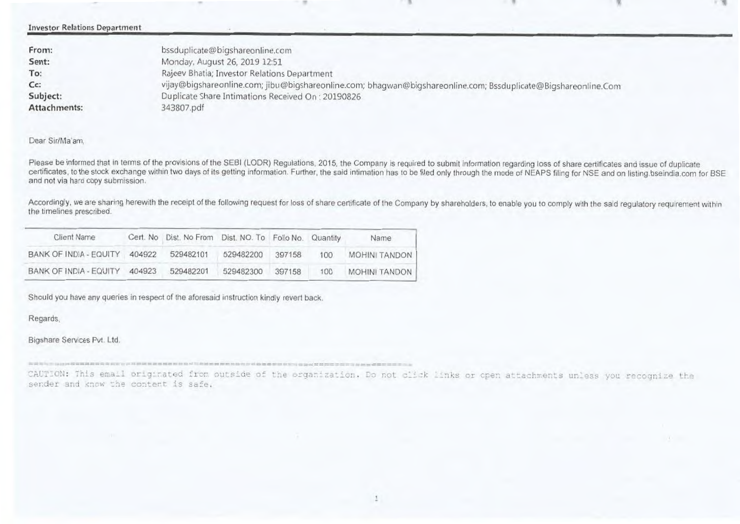| <b>Investor Relations Department</b> |                                                                                                                |
|--------------------------------------|----------------------------------------------------------------------------------------------------------------|
| From:                                | bssduplicate@bigshareonline.com                                                                                |
| Sent:                                | Monday, August 26, 2019 12:51                                                                                  |
| To:                                  | Rajeev Bhatia; Investor Relations Department                                                                   |
| $Cc$ :                               | vijay@bigshareonline.com; jibu@bigshareonline.com; bhagwan@bigshareonline.com; Bssduplicate@Bigshareonline.Com |
| Subject:                             | Duplicate Share Intimations Received On: 20190826                                                              |
| Attachments:                         | 343807.pdf                                                                                                     |

### Dear Sir/Ma'am,

Please be informed that in terms of the provisions of the SEBI (LODR) Regulations, 2015, the Company is required to submit information regarding loss of share certificates and issue of duplicate certificates, to the stock exchange within two days of its getting information. Further, the said intimation has to be filed only through the mode of NEAPS filing for NSE and on listing.bseindia.com for BSE and not via hard copy submission.

Accordingly, we are sharing herewith the receipt of the following request for loss of share certificate of the Company by shareholders, to enable you to comply with the said regulatory requirement within the timelines prescribed.

| Client Name                             | Cert. No Dist. No From Dist. NO. To Folio No. Quantity |           |        |     | Name          |
|-----------------------------------------|--------------------------------------------------------|-----------|--------|-----|---------------|
| BANK OF INDIA - EQUITY 404922 529482101 |                                                        | 529482200 | 397158 | 100 | MOHINI TANDON |
| BANK OF INDIA - EQUITY 404923           | 529482201                                              | 529482300 | 397158 | 100 | MOHINI TANDON |

Shoutd you have any queries in respect of the aforesaid instruction kindly revert back.

Regards.

Bigshare Services Pvt. Ltd.

CAUT=ON: Th:15 eraaLl or±gLnate fr..= D-otsLcie of t i orga7.:aaIfon. CL7, not ,. \_nits. or cpen a.:tachments =Less you re.cognize <sup>t</sup> sender and know the content is safe.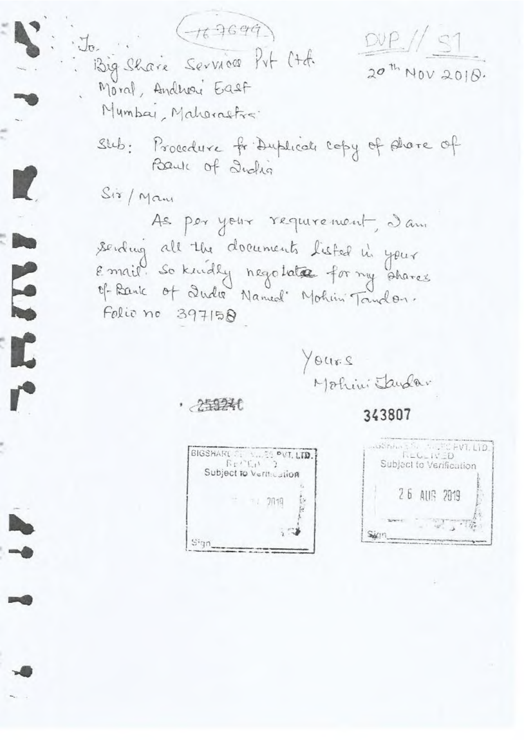$DUP / S1$  $20^{th}$  NOV 2010.

 $J_{\sigma}$ Big Share Service Prt Ctd. Moral, Andrew East Mumbar, Maharastra.

 $(\gamma_6\gamma_6q\tilde{q})$ 

Slub: Procedure fr Duplicale Copy of Alvere of Baule of India

Sir/Man

E

T

As per your requirement, a am sending all the documents listed in your Email. So kindly negotate for my shares Of Bank of Quelle Named' Mohim Tandon. Folio no 397158

Yours Mohini Jandar

· 255240

343807



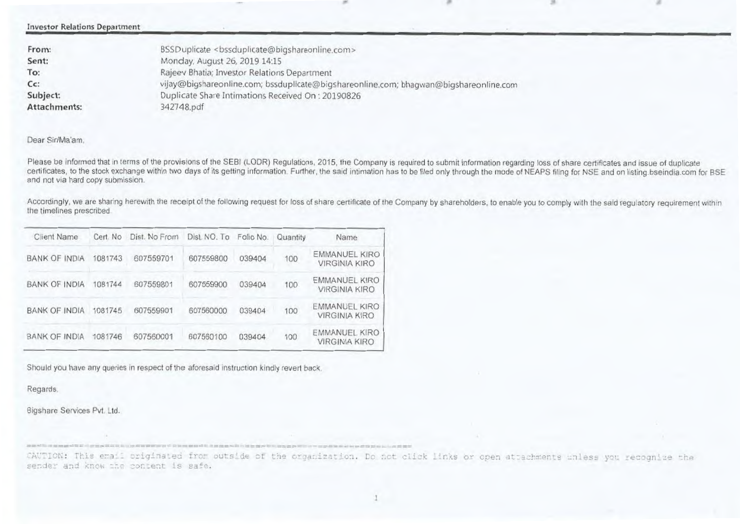Investor Relations Department

| BSSDuplicate <bssduplicate@bigshareonline.com></bssduplicate@bigshareonline.com>      |
|---------------------------------------------------------------------------------------|
| Monday, August 26, 2019 14:15                                                         |
| Rajeev Bhatia; Investor Relations Department                                          |
| vijay@bigshareonline.com; bssduplicate@bigshareonline.com; bhagwan@bigshareonline.com |
| Duplicate Share Intimations Received On: 20190826                                     |
| 342748.pdf                                                                            |
|                                                                                       |

#### Dear Sir/Ma'am,

Please be informed that in terms of the provisions of the SEBI (LODR) Regulations, 2015, the Company is required to submit information regarding loss of share certificates and issue of duplicate certificates, to the stock exchange within two days of its getting information. Further, the said intimation has to be filed only through the mode of NEAPS filing for NSE and on listing.bseindia.com for BSE and not via hard copy submission.

Accordingly, we are sharing herewith the receipt of the following request for loss of share certificate of the Company by shareholders, to enable you to comply with the said regulatory requirement within the timelines prescribed.

| Client Name          | Cert. No | Dist. No From | Dist. NO. To Folio No. |        | Quantity | Name                                  |
|----------------------|----------|---------------|------------------------|--------|----------|---------------------------------------|
| BANK OF INDIA        | 1081743  | 607559701     | 607559800              | 039404 | 100      | EMMANUEL KIRO<br><b>VIRGINIA KIRO</b> |
| <b>BANK OF INDIA</b> | 1081744  | 607559801     | 607559900              | 039404 | 100      | EMMANUEL KIRO<br><b>VIRGINIA KIRO</b> |
| <b>BANK OF INDIA</b> | 1081745  | 607559901     | 607560000              | 039404 | 100      | EMMANUEL KIRO<br><b>VIRGINIA KIRO</b> |
| <b>BANK OF INDIA</b> | 1081746  | 607560001     | 607560100              | 039404 | 100      | EMMANUEL KIRO<br><b>VIRGINIA KIRO</b> |

Should you have any queries in respect of the aforesaid instruction kindly revert back.

a production of classification of the substantial content of the product of the product of the basic production

Regards.

Bigshare Services Pvt. Ltd.

This email originated from outside of the organization. Do not click links or open attachments unless you recognize sender and know the content is safe.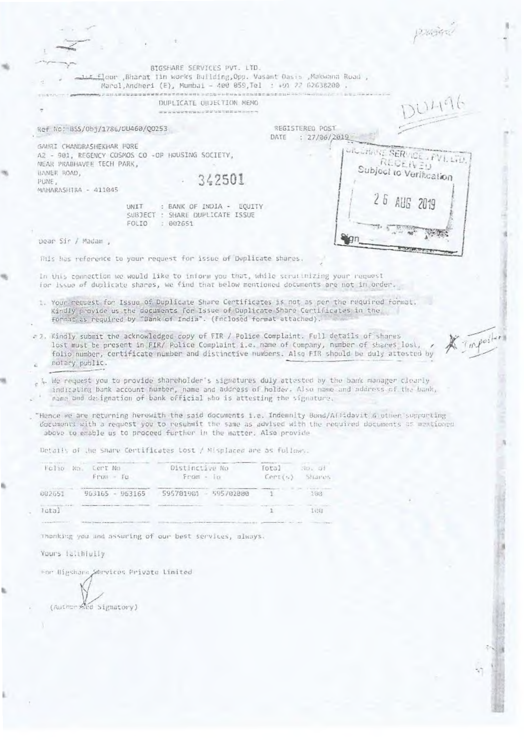|                                                                                                            |                                                                                                                                                                                                                                                                                           |                                                 | 1263427                                                                                               |
|------------------------------------------------------------------------------------------------------------|-------------------------------------------------------------------------------------------------------------------------------------------------------------------------------------------------------------------------------------------------------------------------------------------|-------------------------------------------------|-------------------------------------------------------------------------------------------------------|
|                                                                                                            |                                                                                                                                                                                                                                                                                           |                                                 |                                                                                                       |
|                                                                                                            | BIGSHARE SERVICES PVT. LTD.                                                                                                                                                                                                                                                               |                                                 |                                                                                                       |
|                                                                                                            | <u>lit fl</u> oor Bharat lin works Building, Opp. Vasant Oasis , Makwana Road ,<br>Marol.Andheri (E), Mumbai - 400 059,Tel : +91 22 62638200 .                                                                                                                                            |                                                 |                                                                                                       |
|                                                                                                            | DUPLICATE ORDECTION MENO                                                                                                                                                                                                                                                                  |                                                 | D11196                                                                                                |
|                                                                                                            | come to so to be ex ex up out of their function of the Williams ends                                                                                                                                                                                                                      |                                                 |                                                                                                       |
| Ref No: BSS/0bj/1786/DU460/Q0253                                                                           |                                                                                                                                                                                                                                                                                           | REGISTERED POST<br>: 27/06/2019<br>DATE         |                                                                                                       |
| GAURI CHANDRASHEKHAR PORE<br>A2 - 901, REGENCY COSMOS CO -OP HOUSING SOCIETY,<br>NEAR PRABHAVEE TECH PARK, |                                                                                                                                                                                                                                                                                           |                                                 | URLEWINE SERVICE (FV1.1TD)<br><b>RECEIVED</b>                                                         |
| HANER ROAD,                                                                                                |                                                                                                                                                                                                                                                                                           |                                                 | Subject to Verification                                                                               |
| PUNE,<br>MAHARASHIRA - 411045                                                                              | 342501                                                                                                                                                                                                                                                                                    |                                                 |                                                                                                       |
|                                                                                                            |                                                                                                                                                                                                                                                                                           |                                                 | 2 5 AUG 2019                                                                                          |
| UNIT<br>FOLIO                                                                                              | : BANK OF INDIA - EQUITY<br>SUBJECT : SHARE DUPLICATE ISSUE<br>: 602651                                                                                                                                                                                                                   |                                                 |                                                                                                       |
|                                                                                                            |                                                                                                                                                                                                                                                                                           |                                                 |                                                                                                       |
| Dear Sir / Madam ,                                                                                         |                                                                                                                                                                                                                                                                                           |                                                 |                                                                                                       |
|                                                                                                            | This has reference to your request for issue of Duplicate shares.                                                                                                                                                                                                                         |                                                 |                                                                                                       |
|                                                                                                            | In this connection we would like to inform you that, while strutinizing your request<br>for Issue of duplicate shares, we find that below mentioned documents are not in order.                                                                                                           |                                                 |                                                                                                       |
|                                                                                                            | 1. Your request for Issue of Duplicate Share Certificates is not as per the required format.<br>Kindly provide us the documents for Issue of Duplicate Share Certificates in the<br>format as required by "Bank of India". (Fnclosed format attached).                                    |                                                 |                                                                                                       |
| notary public.                                                                                             | # 7. Kindly submit the acknowledged copy of FIR / Police Complaint. Full details of shares<br>lost must be present in FIR/ Police Complaint i.e. name of Company, number of shares lost,<br>folio number, certificate number and distinctive numbers. Also FIR should be duly attested by |                                                 | A Importer                                                                                            |
|                                                                                                            | . We request you to provide shareholder's signatures duly attested by the bank manager clearly<br>indicating bank account number, name and address of holder. Also name and address of the bank,<br>name and designation of bank official who is attesting the signature.                 |                                                 |                                                                                                       |
|                                                                                                            | "Hence we are returning herewith the said documents i.e. Indemnity Bond/Affidavit & other supporting                                                                                                                                                                                      |                                                 |                                                                                                       |
|                                                                                                            | above to enable us to proceed further in the matter. Also provide                                                                                                                                                                                                                         |                                                 | documents with a request you to resubmit the same as advised with the required documents as mentioned |
|                                                                                                            | Details of the Share Certificates Lost / Misplaced are as follows.                                                                                                                                                                                                                        |                                                 |                                                                                                       |
| Folio No.<br>Cert No<br>$From - To$                                                                        | Distinctive No<br>$Froot + 10$                                                                                                                                                                                                                                                            | foral<br>$SO_+$ 01<br>$Cer_U(\cdot)$<br>Shares. |                                                                                                       |
| 002651<br>963165 - 963165                                                                                  | 595781901 - 595702000                                                                                                                                                                                                                                                                     | 198<br>1                                        |                                                                                                       |
| lutal                                                                                                      |                                                                                                                                                                                                                                                                                           | 109<br>$\mathbb{I}$                             |                                                                                                       |
|                                                                                                            |                                                                                                                                                                                                                                                                                           |                                                 |                                                                                                       |
|                                                                                                            | Thanking you and assuring of our best services, always.                                                                                                                                                                                                                                   |                                                 |                                                                                                       |
| Yours is.thfully                                                                                           |                                                                                                                                                                                                                                                                                           |                                                 |                                                                                                       |
| For Bigshare Services Private Limited                                                                      |                                                                                                                                                                                                                                                                                           |                                                 |                                                                                                       |
|                                                                                                            |                                                                                                                                                                                                                                                                                           |                                                 |                                                                                                       |
| (Authorised Signatory)                                                                                     |                                                                                                                                                                                                                                                                                           |                                                 |                                                                                                       |